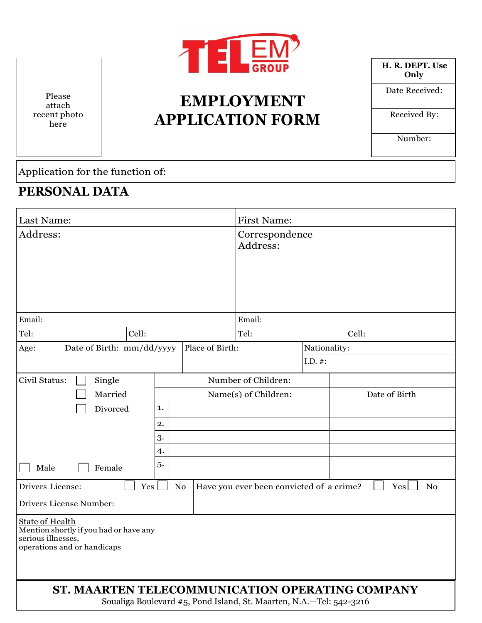

# **EMPLOYMENT APPLICATION FORM**

**H. R. DEPT. Use Only**

Date Received:

Received By:

Number:

Application for the function of:

#### **PERSONAL DATA**

Please attach recent photo here

| Last Name:                                                                                                            |                     | <b>First Name:</b> |                                                                     |              |                       |
|-----------------------------------------------------------------------------------------------------------------------|---------------------|--------------------|---------------------------------------------------------------------|--------------|-----------------------|
| Address:                                                                                                              |                     |                    | Correspondence<br>Address:                                          |              |                       |
| Email:                                                                                                                |                     |                    | Email:                                                              |              |                       |
| Tel:<br>Cell:                                                                                                         |                     |                    | Tel:                                                                |              | Cell:                 |
| Age:<br>Date of Birth: mm/dd/yyyy                                                                                     |                     | Place of Birth:    |                                                                     | Nationality: |                       |
|                                                                                                                       |                     |                    |                                                                     | $I.D.$ #:    |                       |
| Civil Status:<br>Single                                                                                               | Number of Children: |                    |                                                                     |              |                       |
| Married                                                                                                               |                     |                    | Name(s) of Children:                                                |              | Date of Birth         |
| Divorced                                                                                                              | 1.                  |                    |                                                                     |              |                       |
|                                                                                                                       | 2.                  |                    |                                                                     |              |                       |
|                                                                                                                       | 3.                  |                    |                                                                     |              |                       |
|                                                                                                                       | 4.                  |                    |                                                                     |              |                       |
| Male<br>Female                                                                                                        | 5.                  |                    |                                                                     |              |                       |
| Drivers License:<br>Yes                                                                                               | No                  |                    | Have you ever been convicted of a crime?                            |              | Yes<br>N <sub>o</sub> |
| Drivers License Number:                                                                                               |                     |                    |                                                                     |              |                       |
| <b>State of Health</b><br>Mention shortly if you had or have any<br>serious illnesses,<br>operations and or handicaps |                     |                    |                                                                     |              |                       |
| ST. MAARTEN TELECOMMUNICATION OPERATING COMPANY                                                                       |                     |                    | Soualiga Boulevard #5, Pond Island, St. Maarten, N.A.-Tel: 542-3216 |              |                       |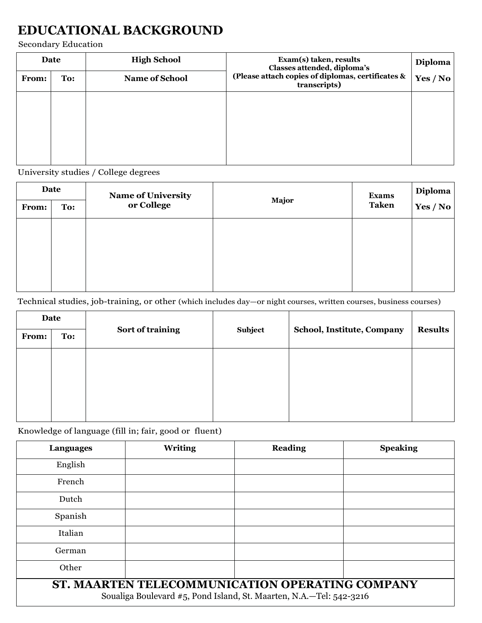# **EDUCATIONAL BACKGROUND**

Secondary Education

| Date         |     | <b>High School</b>    | Exam(s) taken, results<br>Classes attended, diploma's             | Diploma  |
|--------------|-----|-----------------------|-------------------------------------------------------------------|----------|
| <b>From:</b> | To: | <b>Name of School</b> | (Please attach copies of diplomas, certificates &<br>transcripts) | Yes / No |
|              |     |                       |                                                                   |          |
|              |     |                       |                                                                   |          |
|              |     |                       |                                                                   |          |
|              |     |                       |                                                                   |          |

University studies / College degrees

| Date  |     | <b>Name of University</b> |       | <b>Exams</b> | Diploma  |
|-------|-----|---------------------------|-------|--------------|----------|
| From: | To: | or College                | Major | <b>Taken</b> | Yes / No |
|       |     |                           |       |              |          |
|       |     |                           |       |              |          |
|       |     |                           |       |              |          |
|       |     |                           |       |              |          |

Technical studies, job-training, or other (which includes day—or night courses, written courses, business courses)

| Date         |     |                  |         |                            |                |
|--------------|-----|------------------|---------|----------------------------|----------------|
| <b>From:</b> | To: | Sort of training | Subject | School, Institute, Company | <b>Results</b> |
|              |     |                  |         |                            |                |
|              |     |                  |         |                            |                |
|              |     |                  |         |                            |                |
|              |     |                  |         |                            |                |

Knowledge of language (fill in; fair, good or fluent)

| Languages                                                                                                              | <b>Writing</b> | <b>Reading</b> | <b>Speaking</b> |  |
|------------------------------------------------------------------------------------------------------------------------|----------------|----------------|-----------------|--|
| English                                                                                                                |                |                |                 |  |
| French                                                                                                                 |                |                |                 |  |
| Dutch                                                                                                                  |                |                |                 |  |
| Spanish                                                                                                                |                |                |                 |  |
| Italian                                                                                                                |                |                |                 |  |
| German                                                                                                                 |                |                |                 |  |
| Other                                                                                                                  |                |                |                 |  |
| ST. MAARTEN TELECOMMUNICATION OPERATING COMPANY<br>Soualiga Boulevard #5, Pond Island, St. Maarten, N.A.-Tel: 542-3216 |                |                |                 |  |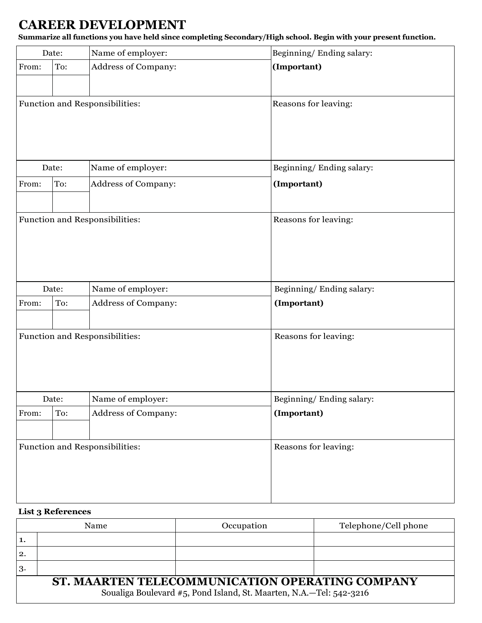## **CAREER DEVELOPMENT**

**Summarize all functions you have held since completing Secondary/High school. Begin with your present function.**

| Date: |       | Name of employer:              | Beginning/Ending salary: |
|-------|-------|--------------------------------|--------------------------|
| From: | To:   | Address of Company:            | (Important)              |
|       |       | Function and Responsibilities: | Reasons for leaving:     |
|       | Date: | Name of employer:              | Beginning/Ending salary: |
| From: | To:   | Address of Company:            | (Important)              |
|       |       | Function and Responsibilities: | Reasons for leaving:     |
|       | Date: | Name of employer:              | Beginning/Ending salary: |
| From: | To:   | Address of Company:            | (Important)              |
|       |       | Function and Responsibilities: | Reasons for leaving:     |
|       | Date: | Name of employer:              | Beginning/Ending salary: |
| From: | To:   | Address of Company:            | (Important)              |
|       |       | Function and Responsibilities: | Reasons for leaving:     |

#### **List 3 References**

| Name                                                                                                                   |  | Occupation | Telephone/Cell phone |  |  |
|------------------------------------------------------------------------------------------------------------------------|--|------------|----------------------|--|--|
|                                                                                                                        |  |            |                      |  |  |
| 2.                                                                                                                     |  |            |                      |  |  |
| 3.                                                                                                                     |  |            |                      |  |  |
| ST. MAARTEN TELECOMMUNICATION OPERATING COMPANY<br>Soualiga Boulevard #5, Pond Island, St. Maarten, N.A.-Tel: 542-3216 |  |            |                      |  |  |